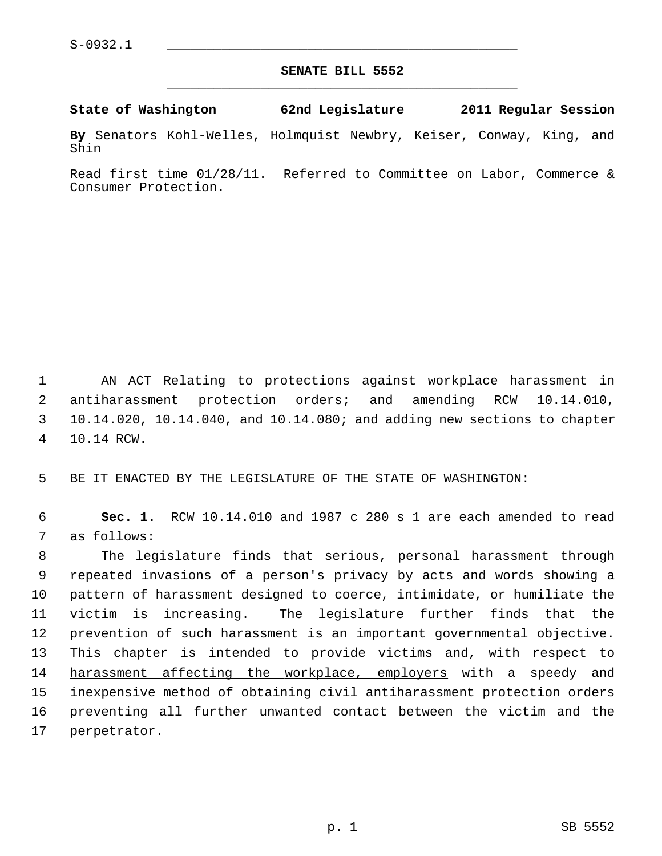## **SENATE BILL 5552** \_\_\_\_\_\_\_\_\_\_\_\_\_\_\_\_\_\_\_\_\_\_\_\_\_\_\_\_\_\_\_\_\_\_\_\_\_\_\_\_\_\_\_\_\_

**State of Washington 62nd Legislature 2011 Regular Session**

**By** Senators Kohl-Welles, Holmquist Newbry, Keiser, Conway, King, and Shin

Read first time 01/28/11. Referred to Committee on Labor, Commerce & Consumer Protection.

 1 AN ACT Relating to protections against workplace harassment in 2 antiharassment protection orders; and amending RCW 10.14.010, 3 10.14.020, 10.14.040, and 10.14.080; and adding new sections to chapter 4 10.14 RCW.

5 BE IT ENACTED BY THE LEGISLATURE OF THE STATE OF WASHINGTON:

 6 **Sec. 1.** RCW 10.14.010 and 1987 c 280 s 1 are each amended to read 7 as follows:

 8 The legislature finds that serious, personal harassment through 9 repeated invasions of a person's privacy by acts and words showing a 10 pattern of harassment designed to coerce, intimidate, or humiliate the 11 victim is increasing. The legislature further finds that the 12 prevention of such harassment is an important governmental objective. 13 This chapter is intended to provide victims and, with respect to 14 harassment affecting the workplace, employers with a speedy and 15 inexpensive method of obtaining civil antiharassment protection orders 16 preventing all further unwanted contact between the victim and the 17 perpetrator.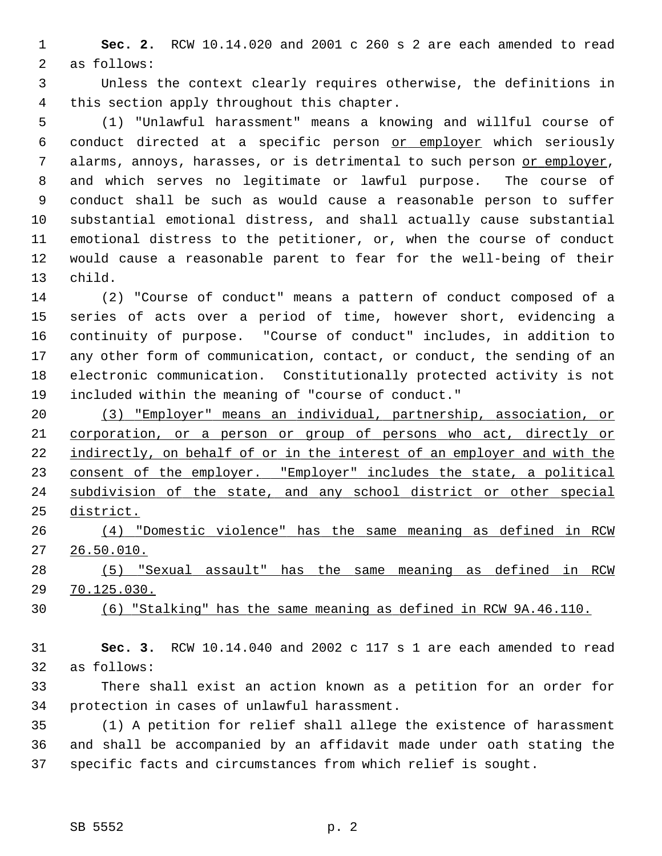1 **Sec. 2.** RCW 10.14.020 and 2001 c 260 s 2 are each amended to read 2 as follows:

 3 Unless the context clearly requires otherwise, the definitions in 4 this section apply throughout this chapter.

 5 (1) "Unlawful harassment" means a knowing and willful course of 6 conduct directed at a specific person or employer which seriously 7 alarms, annoys, harasses, or is detrimental to such person or employer, 8 and which serves no legitimate or lawful purpose. The course of 9 conduct shall be such as would cause a reasonable person to suffer 10 substantial emotional distress, and shall actually cause substantial 11 emotional distress to the petitioner, or, when the course of conduct 12 would cause a reasonable parent to fear for the well-being of their 13 child.

14 (2) "Course of conduct" means a pattern of conduct composed of a 15 series of acts over a period of time, however short, evidencing a 16 continuity of purpose. "Course of conduct" includes, in addition to 17 any other form of communication, contact, or conduct, the sending of an 18 electronic communication. Constitutionally protected activity is not 19 included within the meaning of "course of conduct."

 (3) "Employer" means an individual, partnership, association, or corporation, or a person or group of persons who act, directly or indirectly, on behalf of or in the interest of an employer and with the 23 consent of the employer. "Employer" includes the state, a political subdivision of the state, and any school district or other special district.

26 (4) "Domestic violence" has the same meaning as defined in RCW 27 26.50.010.

28 (5) "Sexual assault" has the same meaning as defined in RCW 29 70.125.030.

30 (6) "Stalking" has the same meaning as defined in RCW 9A.46.110.

31 **Sec. 3.** RCW 10.14.040 and 2002 c 117 s 1 are each amended to read 32 as follows:

33 There shall exist an action known as a petition for an order for 34 protection in cases of unlawful harassment.

35 (1) A petition for relief shall allege the existence of harassment 36 and shall be accompanied by an affidavit made under oath stating the 37 specific facts and circumstances from which relief is sought.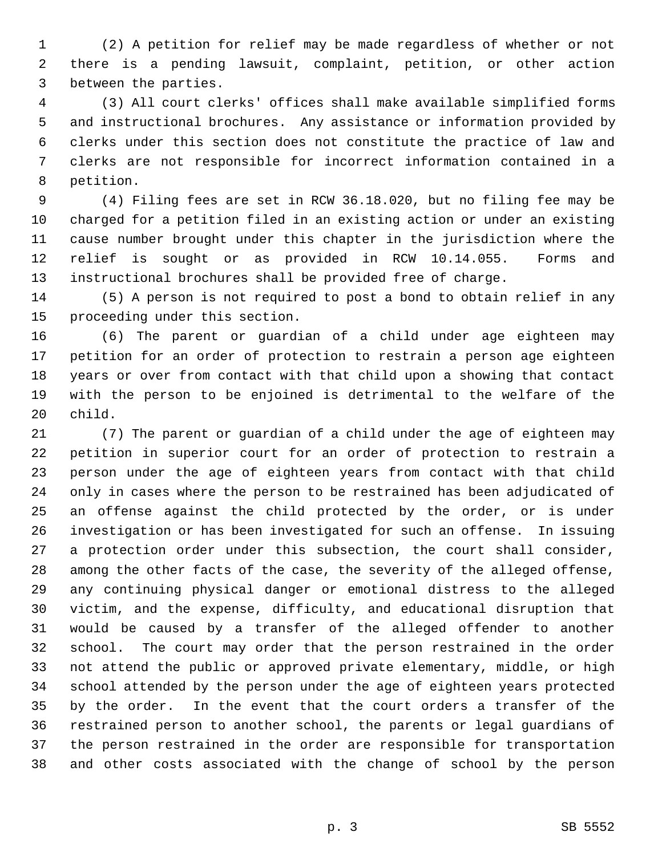1 (2) A petition for relief may be made regardless of whether or not 2 there is a pending lawsuit, complaint, petition, or other action 3 between the parties.

 4 (3) All court clerks' offices shall make available simplified forms 5 and instructional brochures. Any assistance or information provided by 6 clerks under this section does not constitute the practice of law and 7 clerks are not responsible for incorrect information contained in a 8 petition.

 9 (4) Filing fees are set in RCW 36.18.020, but no filing fee may be 10 charged for a petition filed in an existing action or under an existing 11 cause number brought under this chapter in the jurisdiction where the 12 relief is sought or as provided in RCW 10.14.055. Forms and 13 instructional brochures shall be provided free of charge.

14 (5) A person is not required to post a bond to obtain relief in any 15 proceeding under this section.

16 (6) The parent or guardian of a child under age eighteen may 17 petition for an order of protection to restrain a person age eighteen 18 years or over from contact with that child upon a showing that contact 19 with the person to be enjoined is detrimental to the welfare of the 20 child.

21 (7) The parent or guardian of a child under the age of eighteen may 22 petition in superior court for an order of protection to restrain a 23 person under the age of eighteen years from contact with that child 24 only in cases where the person to be restrained has been adjudicated of 25 an offense against the child protected by the order, or is under 26 investigation or has been investigated for such an offense. In issuing 27 a protection order under this subsection, the court shall consider, 28 among the other facts of the case, the severity of the alleged offense, 29 any continuing physical danger or emotional distress to the alleged 30 victim, and the expense, difficulty, and educational disruption that 31 would be caused by a transfer of the alleged offender to another 32 school. The court may order that the person restrained in the order 33 not attend the public or approved private elementary, middle, or high 34 school attended by the person under the age of eighteen years protected 35 by the order. In the event that the court orders a transfer of the 36 restrained person to another school, the parents or legal guardians of 37 the person restrained in the order are responsible for transportation 38 and other costs associated with the change of school by the person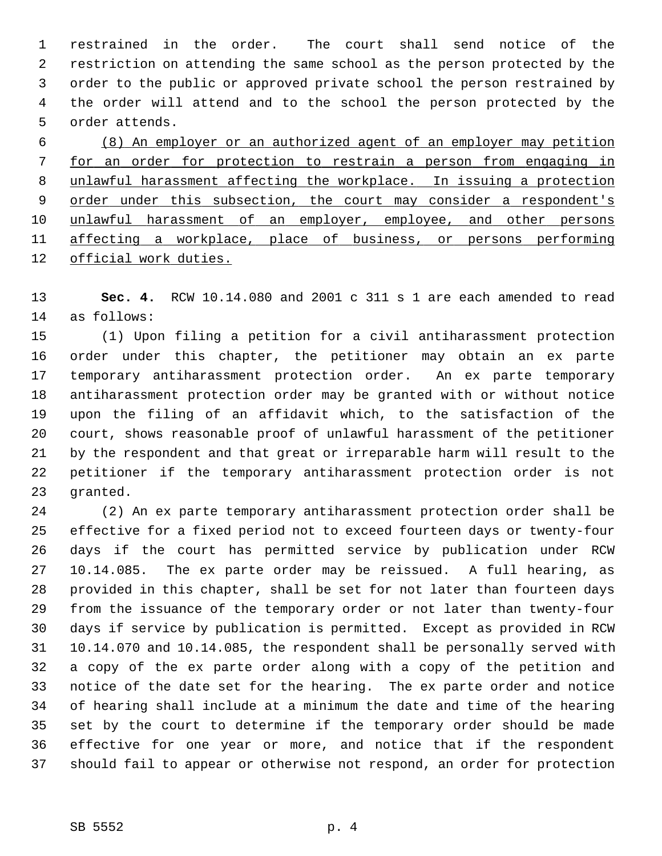1 restrained in the order. The court shall send notice of the 2 restriction on attending the same school as the person protected by the 3 order to the public or approved private school the person restrained by 4 the order will attend and to the school the person protected by the 5 order attends.

 (8) An employer or an authorized agent of an employer may petition for an order for protection to restrain a person from engaging in unlawful harassment affecting the workplace. In issuing a protection 9 order under this subsection, the court may consider a respondent's unlawful harassment of an employer, employee, and other persons affecting a workplace, place of business, or persons performing official work duties.

13 **Sec. 4.** RCW 10.14.080 and 2001 c 311 s 1 are each amended to read 14 as follows:

15 (1) Upon filing a petition for a civil antiharassment protection 16 order under this chapter, the petitioner may obtain an ex parte 17 temporary antiharassment protection order. An ex parte temporary 18 antiharassment protection order may be granted with or without notice 19 upon the filing of an affidavit which, to the satisfaction of the 20 court, shows reasonable proof of unlawful harassment of the petitioner 21 by the respondent and that great or irreparable harm will result to the 22 petitioner if the temporary antiharassment protection order is not 23 granted.

24 (2) An ex parte temporary antiharassment protection order shall be 25 effective for a fixed period not to exceed fourteen days or twenty-four 26 days if the court has permitted service by publication under RCW 27 10.14.085. The ex parte order may be reissued. A full hearing, as 28 provided in this chapter, shall be set for not later than fourteen days 29 from the issuance of the temporary order or not later than twenty-four 30 days if service by publication is permitted. Except as provided in RCW 31 10.14.070 and 10.14.085, the respondent shall be personally served with 32 a copy of the ex parte order along with a copy of the petition and 33 notice of the date set for the hearing. The ex parte order and notice 34 of hearing shall include at a minimum the date and time of the hearing 35 set by the court to determine if the temporary order should be made 36 effective for one year or more, and notice that if the respondent 37 should fail to appear or otherwise not respond, an order for protection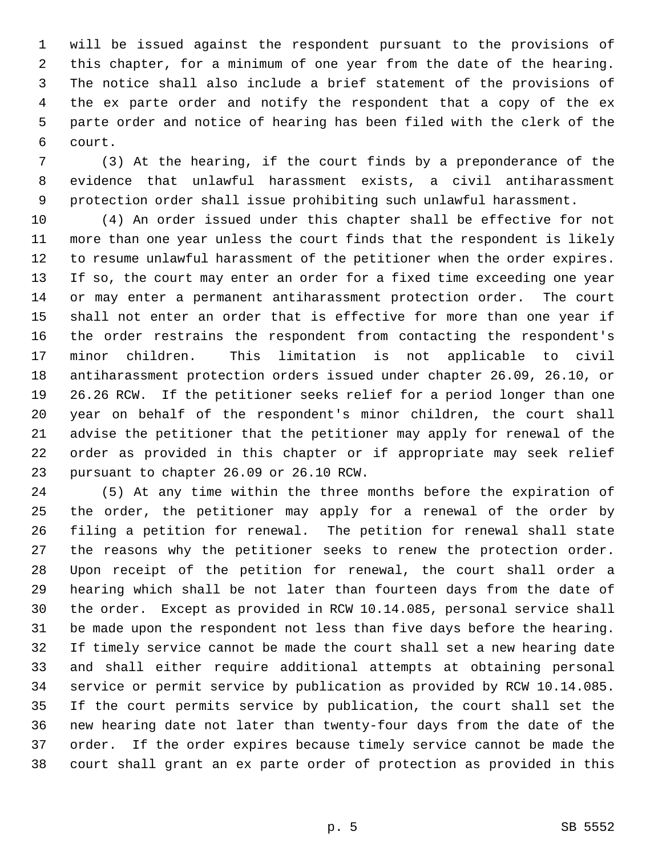1 will be issued against the respondent pursuant to the provisions of 2 this chapter, for a minimum of one year from the date of the hearing. 3 The notice shall also include a brief statement of the provisions of 4 the ex parte order and notify the respondent that a copy of the ex 5 parte order and notice of hearing has been filed with the clerk of the 6 court.

 7 (3) At the hearing, if the court finds by a preponderance of the 8 evidence that unlawful harassment exists, a civil antiharassment 9 protection order shall issue prohibiting such unlawful harassment.

10 (4) An order issued under this chapter shall be effective for not 11 more than one year unless the court finds that the respondent is likely 12 to resume unlawful harassment of the petitioner when the order expires. 13 If so, the court may enter an order for a fixed time exceeding one year 14 or may enter a permanent antiharassment protection order. The court 15 shall not enter an order that is effective for more than one year if 16 the order restrains the respondent from contacting the respondent's 17 minor children. This limitation is not applicable to civil 18 antiharassment protection orders issued under chapter 26.09, 26.10, or 19 26.26 RCW. If the petitioner seeks relief for a period longer than one 20 year on behalf of the respondent's minor children, the court shall 21 advise the petitioner that the petitioner may apply for renewal of the 22 order as provided in this chapter or if appropriate may seek relief 23 pursuant to chapter 26.09 or 26.10 RCW.

24 (5) At any time within the three months before the expiration of 25 the order, the petitioner may apply for a renewal of the order by 26 filing a petition for renewal. The petition for renewal shall state 27 the reasons why the petitioner seeks to renew the protection order. 28 Upon receipt of the petition for renewal, the court shall order a 29 hearing which shall be not later than fourteen days from the date of 30 the order. Except as provided in RCW 10.14.085, personal service shall 31 be made upon the respondent not less than five days before the hearing. 32 If timely service cannot be made the court shall set a new hearing date 33 and shall either require additional attempts at obtaining personal 34 service or permit service by publication as provided by RCW 10.14.085. 35 If the court permits service by publication, the court shall set the 36 new hearing date not later than twenty-four days from the date of the 37 order. If the order expires because timely service cannot be made the 38 court shall grant an ex parte order of protection as provided in this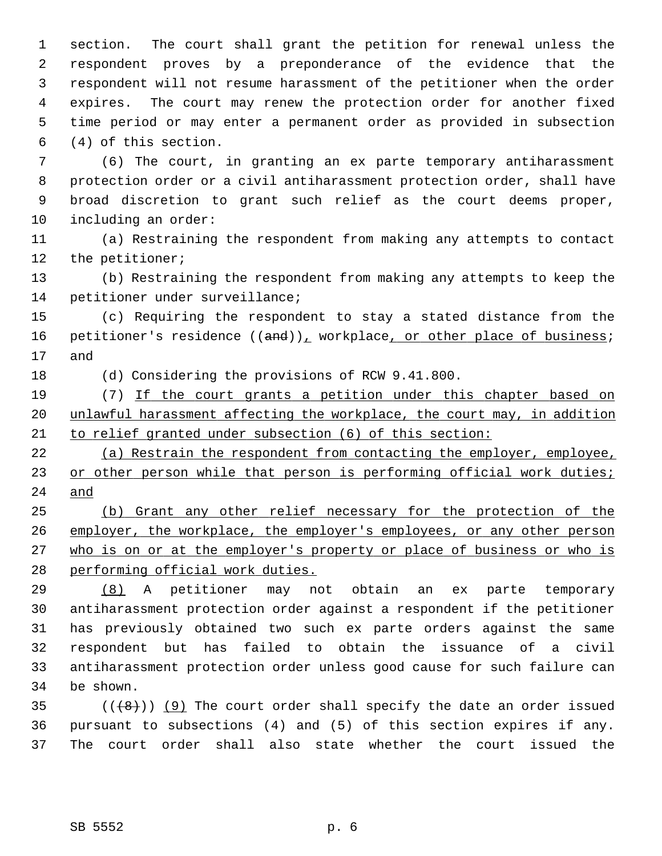1 section. The court shall grant the petition for renewal unless the 2 respondent proves by a preponderance of the evidence that the 3 respondent will not resume harassment of the petitioner when the order 4 expires. The court may renew the protection order for another fixed 5 time period or may enter a permanent order as provided in subsection 6 (4) of this section.

 7 (6) The court, in granting an ex parte temporary antiharassment 8 protection order or a civil antiharassment protection order, shall have 9 broad discretion to grant such relief as the court deems proper, 10 including an order:

11 (a) Restraining the respondent from making any attempts to contact 12 the petitioner;

13 (b) Restraining the respondent from making any attempts to keep the 14 petitioner under surveillance;

15 (c) Requiring the respondent to stay a stated distance from the 16 petitioner's residence  $((and))_t$  workplace, or other place of business; 17 and

18 (d) Considering the provisions of RCW 9.41.800.

19 (7) If the court grants a petition under this chapter based on 20 unlawful harassment affecting the workplace, the court may, in addition 21 to relief granted under subsection (6) of this section:

22 (a) Restrain the respondent from contacting the employer, employee, 23 or other person while that person is performing official work duties; 24 and

 (b) Grant any other relief necessary for the protection of the employer, the workplace, the employer's employees, or any other person who is on or at the employer's property or place of business or who is performing official work duties.

29 (8) A petitioner may not obtain an ex parte temporary 30 antiharassment protection order against a respondent if the petitioner 31 has previously obtained two such ex parte orders against the same 32 respondent but has failed to obtain the issuance of a civil 33 antiharassment protection order unless good cause for such failure can 34 be shown.

35  $((+8))$  (9) The court order shall specify the date an order issued 36 pursuant to subsections (4) and (5) of this section expires if any. 37 The court order shall also state whether the court issued the